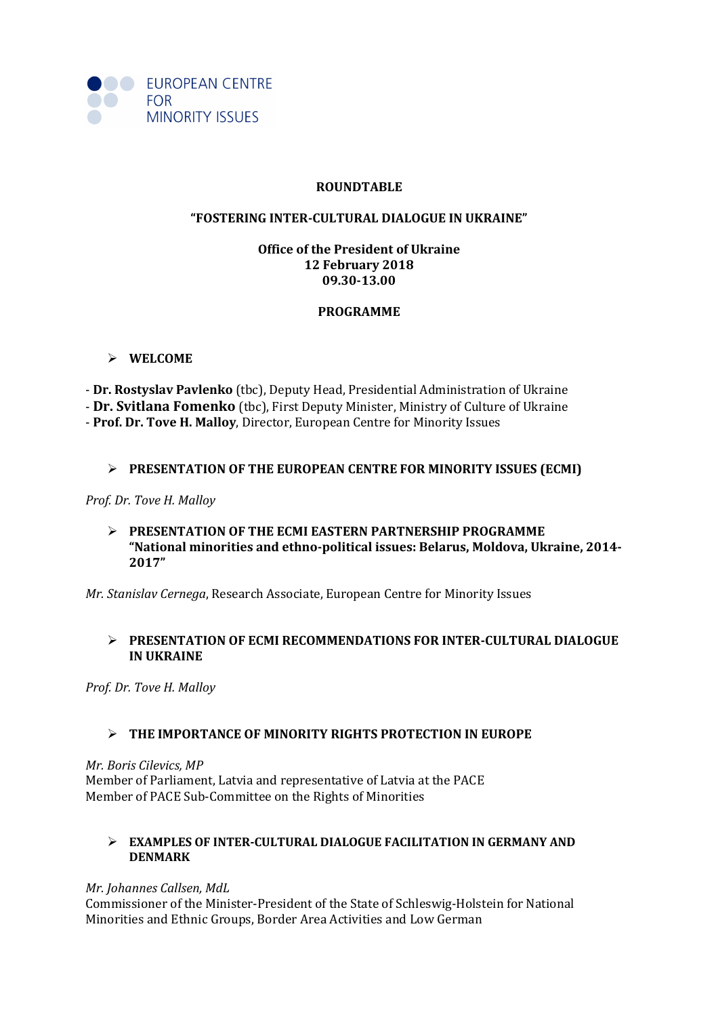

#### **ROUNDTABLE**

#### **"FOSTERING INTER-CULTURAL DIALOGUE IN UKRAINE"**

# **Office of the President of Ukraine 12 February 2018 09.30-13.00**

## **PROGRAMME**

### **WELCOME**

- **Dr. Rostyslav Pavlenko** (tbc), Deputy Head, Presidential Administration of Ukraine - **Dr. Svitlana Fomenko** (tbc), First Deputy Minister, Ministry of Culture of Ukraine - **Prof. Dr. Tove H. Malloy**, Director, European Centre for Minority Issues

### **PRESENTATION OF THE EUROPEAN CENTRE FOR MINORITY ISSUES (ECMI)**

*Prof. Dr. Tove H. Malloy* 

#### **PRESENTATION OF THE ECMI EASTERN PARTNERSHIP PROGRAMME "National minorities and ethno-political issues: Belarus, Moldova, Ukraine, 2014- 2017"**

*Mr. Stanislav Cernega*, Research Associate, European Centre for Minority Issues

### **PRESENTATION OF ECMI RECOMMENDATIONS FOR INTER-CULTURAL DIALOGUE IN UKRAINE**

*Prof. Dr. Tove H. Malloy*

## **THE IMPORTANCE OF MINORITY RIGHTS PROTECTION IN EUROPE**

*Mr. Boris Cilevics, MP* Member of Parliament, Latvia and representative of Latvia at the PACE Member of PACE Sub-Committee on the Rights of Minorities

### **EXAMPLES OF INTER-CULTURAL DIALOGUE FACILITATION IN GERMANY AND DENMARK**

*Mr. Johannes Callsen, MdL*  Commissioner of the Minister-President of the State of Schleswig-Holstein for National Minorities and Ethnic Groups, Border Area Activities and Low German